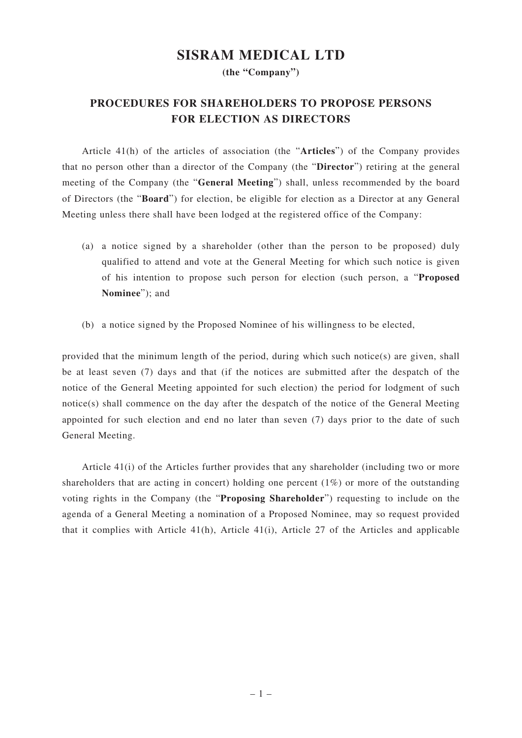## **SISRAM MEDICAL LTD**

**(the "Company")**

## **PROCEDURES FOR SHAREHOLDERS TO PROPOSE PERSONS FOR ELECTION AS DIRECTORS**

Article 41(h) of the articles of association (the "**Articles**") of the Company provides that no person other than a director of the Company (the "**Director**") retiring at the general meeting of the Company (the "**General Meeting**") shall, unless recommended by the board of Directors (the "**Board**") for election, be eligible for election as a Director at any General Meeting unless there shall have been lodged at the registered office of the Company:

- (a) a notice signed by a shareholder (other than the person to be proposed) duly qualified to attend and vote at the General Meeting for which such notice is given of his intention to propose such person for election (such person, a "**Proposed Nominee**"); and
- (b) a notice signed by the Proposed Nominee of his willingness to be elected,

provided that the minimum length of the period, during which such notice(s) are given, shall be at least seven (7) days and that (if the notices are submitted after the despatch of the notice of the General Meeting appointed for such election) the period for lodgment of such notice(s) shall commence on the day after the despatch of the notice of the General Meeting appointed for such election and end no later than seven (7) days prior to the date of such General Meeting.

Article 41(i) of the Articles further provides that any shareholder (including two or more shareholders that are acting in concert) holding one percent  $(1\%)$  or more of the outstanding voting rights in the Company (the "**Proposing Shareholder**") requesting to include on the agenda of a General Meeting a nomination of a Proposed Nominee, may so request provided that it complies with Article 41(h), Article 41(i), Article 27 of the Articles and applicable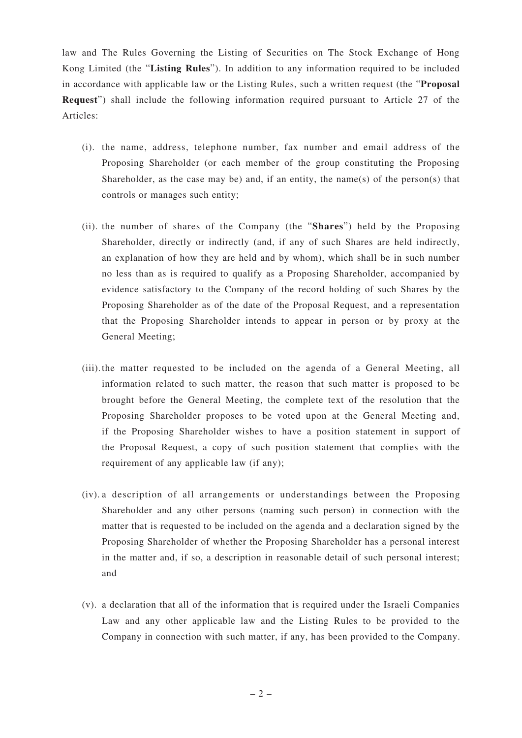law and The Rules Governing the Listing of Securities on The Stock Exchange of Hong Kong Limited (the "**Listing Rules**"). In addition to any information required to be included in accordance with applicable law or the Listing Rules, such a written request (the "**Proposal Request**") shall include the following information required pursuant to Article 27 of the Articles:

- (i). the name, address, telephone number, fax number and email address of the Proposing Shareholder (or each member of the group constituting the Proposing Shareholder, as the case may be) and, if an entity, the name(s) of the person(s) that controls or manages such entity;
- (ii). the number of shares of the Company (the "**Shares**") held by the Proposing Shareholder, directly or indirectly (and, if any of such Shares are held indirectly, an explanation of how they are held and by whom), which shall be in such number no less than as is required to qualify as a Proposing Shareholder, accompanied by evidence satisfactory to the Company of the record holding of such Shares by the Proposing Shareholder as of the date of the Proposal Request, and a representation that the Proposing Shareholder intends to appear in person or by proxy at the General Meeting;
- (iii).the matter requested to be included on the agenda of a General Meeting, all information related to such matter, the reason that such matter is proposed to be brought before the General Meeting, the complete text of the resolution that the Proposing Shareholder proposes to be voted upon at the General Meeting and, if the Proposing Shareholder wishes to have a position statement in support of the Proposal Request, a copy of such position statement that complies with the requirement of any applicable law (if any);
- (iv). a description of all arrangements or understandings between the Proposing Shareholder and any other persons (naming such person) in connection with the matter that is requested to be included on the agenda and a declaration signed by the Proposing Shareholder of whether the Proposing Shareholder has a personal interest in the matter and, if so, a description in reasonable detail of such personal interest; and
- (v). a declaration that all of the information that is required under the Israeli Companies Law and any other applicable law and the Listing Rules to be provided to the Company in connection with such matter, if any, has been provided to the Company.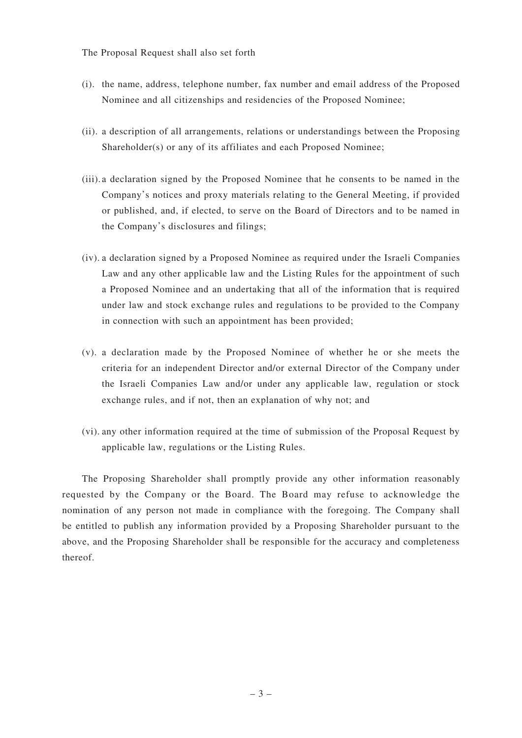The Proposal Request shall also set forth

- (i). the name, address, telephone number, fax number and email address of the Proposed Nominee and all citizenships and residencies of the Proposed Nominee;
- (ii). a description of all arrangements, relations or understandings between the Proposing Shareholder(s) or any of its affiliates and each Proposed Nominee;
- (iii). a declaration signed by the Proposed Nominee that he consents to be named in the Company's notices and proxy materials relating to the General Meeting, if provided or published, and, if elected, to serve on the Board of Directors and to be named in the Company's disclosures and filings;
- (iv). a declaration signed by a Proposed Nominee as required under the Israeli Companies Law and any other applicable law and the Listing Rules for the appointment of such a Proposed Nominee and an undertaking that all of the information that is required under law and stock exchange rules and regulations to be provided to the Company in connection with such an appointment has been provided;
- (v). a declaration made by the Proposed Nominee of whether he or she meets the criteria for an independent Director and/or external Director of the Company under the Israeli Companies Law and/or under any applicable law, regulation or stock exchange rules, and if not, then an explanation of why not; and
- (vi). any other information required at the time of submission of the Proposal Request by applicable law, regulations or the Listing Rules.

The Proposing Shareholder shall promptly provide any other information reasonably requested by the Company or the Board. The Board may refuse to acknowledge the nomination of any person not made in compliance with the foregoing. The Company shall be entitled to publish any information provided by a Proposing Shareholder pursuant to the above, and the Proposing Shareholder shall be responsible for the accuracy and completeness thereof.